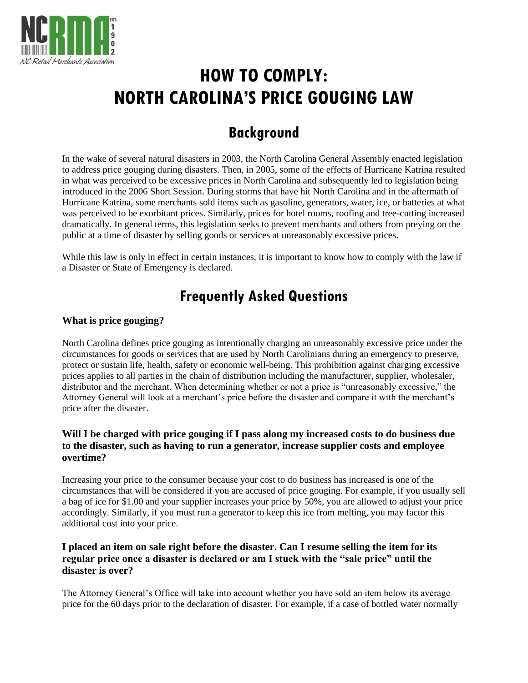

# **HOW TO COMPLY: NORTH CAROLINA'S PRICE GOUGING LAW**

# **Background**

In the wake of several natural disasters in 2003, the North Carolina General Assembly enacted legislation to address price gouging during disasters. Then, in 2005, some of the effects of Hurricane Katrina resulted in what was perceived to be excessive prices in North Carolina and subsequently led to legislation being introduced in the 2006 Short Session. During storms that have hit North Carolina and in the aftermath of Hurricane Katrina, some merchants sold items such as gasoline, generators, water, ice, or batteries at what was perceived to be exorbitant prices. Similarly, prices for hotel rooms, roofing and tree-cutting increased dramatically. In general terms, this legislation seeks to prevent merchants and others from preying on the public at a time of disaster by selling goods or services at unreasonably excessive prices.

While this law is only in effect in certain instances, it is important to know how to comply with the law if a Disaster or State of Emergency is declared.

# **Frequently Asked Questions**

# **What is price gouging?**

North Carolina defines price gouging as intentionally charging an unreasonably excessive price under the circumstances for goods or services that are used by North Carolinians during an emergency to preserve, protect or sustain life, health, safety or economic well-being. This prohibition against charging excessive prices applies to all parties in the chain of distribution including the manufacturer, supplier, wholesaler, distributor and the merchant. When determining whether or not a price is "unreasonably excessive," the Attorney General will look at a merchant's price before the disaster and compare it with the merchant's price after the disaster.

# **Will I be charged with price gouging if I pass along my increased costs to do business due to the disaster, such as having to run a generator, increase supplier costs and employee overtime?**

Increasing your price to the consumer because your cost to do business has increased is one of the circumstances that will be considered if you are accused of price gouging. For example, if you usually sell a bag of ice for \$1.00 and your supplier increases your price by 50%, you are allowed to adjust your price accordingly. Similarly, if you must run a generator to keep this ice from melting, you may factor this additional cost into your price.

# **I placed an item on sale right before the disaster. Can I resume selling the item for its regular price once a disaster is declared or am I stuck with the "sale price" until the disaster is over?**

The Attorney General's Office will take into account whether you have sold an item below its average price for the 60 days prior to the declaration of disaster. For example, if a case of bottled water normally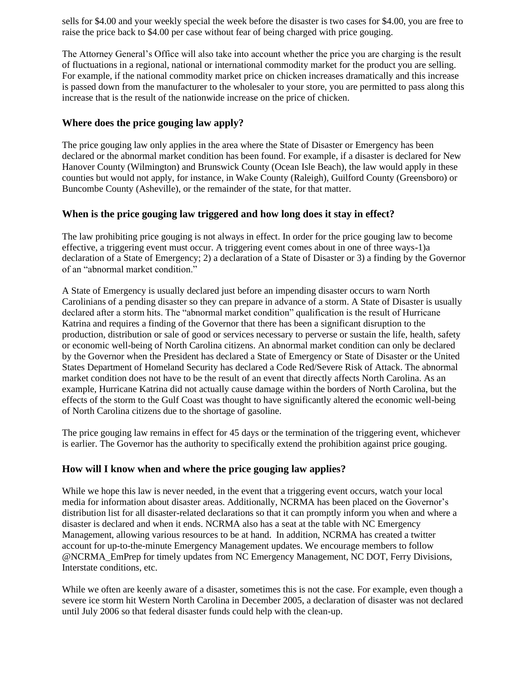sells for \$4.00 and your weekly special the week before the disaster is two cases for \$4.00, you are free to raise the price back to \$4.00 per case without fear of being charged with price gouging.

The Attorney General's Office will also take into account whether the price you are charging is the result of fluctuations in a regional, national or international commodity market for the product you are selling. For example, if the national commodity market price on chicken increases dramatically and this increase is passed down from the manufacturer to the wholesaler to your store, you are permitted to pass along this increase that is the result of the nationwide increase on the price of chicken.

#### **Where does the price gouging law apply?**

The price gouging law only applies in the area where the State of Disaster or Emergency has been declared or the abnormal market condition has been found. For example, if a disaster is declared for New Hanover County (Wilmington) and Brunswick County (Ocean Isle Beach), the law would apply in these counties but would not apply, for instance, in Wake County (Raleigh), Guilford County (Greensboro) or Buncombe County (Asheville), or the remainder of the state, for that matter.

# **When is the price gouging law triggered and how long does it stay in effect?**

The law prohibiting price gouging is not always in effect. In order for the price gouging law to become effective, a triggering event must occur. A triggering event comes about in one of three ways-1)a declaration of a State of Emergency; 2) a declaration of a State of Disaster or 3) a finding by the Governor of an "abnormal market condition."

A State of Emergency is usually declared just before an impending disaster occurs to warn North Carolinians of a pending disaster so they can prepare in advance of a storm. A State of Disaster is usually declared after a storm hits. The "abnormal market condition" qualification is the result of Hurricane Katrina and requires a finding of the Governor that there has been a significant disruption to the production, distribution or sale of good or services necessary to perverse or sustain the life, health, safety or economic well-being of North Carolina citizens. An abnormal market condition can only be declared by the Governor when the President has declared a State of Emergency or State of Disaster or the United States Department of Homeland Security has declared a Code Red/Severe Risk of Attack. The abnormal market condition does not have to be the result of an event that directly affects North Carolina. As an example, Hurricane Katrina did not actually cause damage within the borders of North Carolina, but the effects of the storm to the Gulf Coast was thought to have significantly altered the economic well-being of North Carolina citizens due to the shortage of gasoline.

The price gouging law remains in effect for 45 days or the termination of the triggering event, whichever is earlier. The Governor has the authority to specifically extend the prohibition against price gouging.

#### **How will I know when and where the price gouging law applies?**

While we hope this law is never needed, in the event that a triggering event occurs, watch your local media for information about disaster areas. Additionally, NCRMA has been placed on the Governor's distribution list for all disaster-related declarations so that it can promptly inform you when and where a disaster is declared and when it ends. NCRMA also has a seat at the table with NC Emergency Management, allowing various resources to be at hand. In addition, NCRMA has created a twitter account for up-to-the-minute Emergency Management updates. We encourage members to follow @NCRMA\_EmPrep for timely updates from NC Emergency Management, NC DOT, Ferry Divisions, Interstate conditions, etc.

While we often are keenly aware of a disaster, sometimes this is not the case. For example, even though a severe ice storm hit Western North Carolina in December 2005, a declaration of disaster was not declared until July 2006 so that federal disaster funds could help with the clean-up.